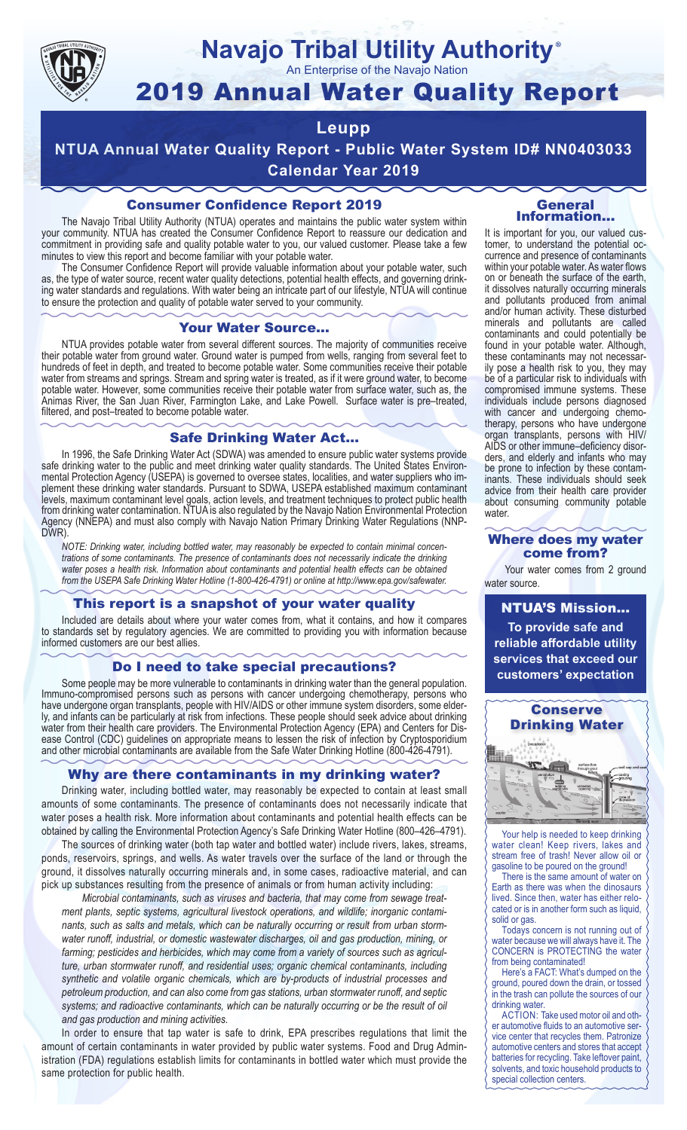

### **Navajo Tribal Utility Authority** ®

An Enterprise of the Navajo Nation

# 2019 Annual Water Quality Report

## **Leupp**

**NTUA Annual Water Quality Report - Public Water System ID# NN0403033 Calendar Year 2019**

## Consumer Confidence Report 2019

The Navajo Tribal Utility Authority (NTUA) operates and maintains the public water system within your community. NTUA has created the Consumer Confidence Report to reassure our dedication and commitment in providing safe and quality potable water to you, our valued customer. Please take a few minutes to view this report and become familiar with your potable water.

The Consumer Confidence Report will provide valuable information about your potable water, such as, the type of water source, recent water quality detections, potential health effects, and governing drinking water standards and regulations. With water being an intricate part of our lifestyle, NTUA will continue to ensure the protection and quality of potable water served to your community.

#### Your Water Source…

NTUA provides potable water from several different sources. The majority of communities receive their potable water from ground water. Ground water is pumped from wells, ranging from several feet to hundreds of feet in depth, and treated to become potable water. Some communities receive their potable water from streams and springs. Stream and spring water is treated, as if it were ground water, to become potable water. However, some communities receive their potable water from surface water, such as, the Animas River, the San Juan River, Farmington Lake, and Lake Powell. Surface water is pre–treated, filtered, and post–treated to become potable water.

#### Safe Drinking Water Act…

In 1996, the Safe Drinking Water Act (SDWA) was amended to ensure public water systems provide safe drinking water to the public and meet drinking water quality standards. The United States Environmental Protection Agency (USEPA) is governed to oversee states, localities, and water suppliers who implement these drinking water standards. Pursuant to SDWA, USEPA established maximum contaminant levels, maximum contaminant level goals, action levels, and treatment techniques to protect public health from drinking water contamination. NTUA is also regulated by the Navajo Nation Environmental Protection Agency (NNEPA) and must also comply with Navajo Nation Primary Drinking Water Regulations (NNP-DWR)

*NOTE: Drinking water, including bottled water, may reasonably be expected to contain minimal concentrations of some contaminants. The presence of contaminants does not necessarily indicate the drinking water poses a health risk. Information about contaminants and potential health effects can be obtained from the USEPA Safe Drinking Water Hotline (1-800-426-4791) or online at http://www.epa.gov/safewater.*

### This report is a snapshot of your water quality

Included are details about where your water comes from, what it contains, and how it compares to standards set by regulatory agencies. We are committed to providing you with information because informed customers are our best allies.

#### Do I need to take special precautions?

Some people may be more vulnerable to contaminants in drinking water than the general population. Immuno-compromised persons such as persons with cancer undergoing chemotherapy, persons who have undergone organ transplants, people with HIV/AIDS or other immune system disorders, some elderly, and infants can be particularly at risk from infections. These people should seek advice about drinking water from their health care providers. The Environmental Protection Agency (EPA) and Centers for Disease Control (CDC) guidelines on appropriate means to lessen the risk of infection by Cryptosporidium and other microbial contaminants are available from the Safe Water Drinking Hotline (800-426-4791).

### Why are there contaminants in my drinking water?

Drinking water, including bottled water, may reasonably be expected to contain at least small amounts of some contaminants. The presence of contaminants does not necessarily indicate that water poses a health risk. More information about contaminants and potential health effects can be obtained by calling the Environmental Protection Agency's Safe Drinking Water Hotline (800–426–4791).

The sources of drinking water (both tap water and bottled water) include rivers, lakes, streams, ponds, reservoirs, springs, and wells. As water travels over the surface of the land or through the ground, it dissolves naturally occurring minerals and, in some cases, radioactive material, and can pick up substances resulting from the presence of animals or from human activity including:

*Microbial contaminants, such as viruses and bacteria, that may come from sewage treatment plants, septic systems, agricultural livestock operations, and wildlife; inorganic contaminants, such as salts and metals, which can be naturally occurring or result from urban stormwater runoff, industrial, or domestic wastewater discharges, oil and gas production, mining, or farming; pesticides and herbicides, which may come from a variety of sources such as agriculture, urban stormwater runoff, and residential uses; organic chemical contaminants, including synthetic and volatile organic chemicals, which are by-products of industrial processes and petroleum production, and can also come from gas stations, urban stormwater runoff, and septic systems; and radioactive contaminants, which can be naturally occurring or be the result of oil and gas production and mining activities.*

In order to ensure that tap water is safe to drink, EPA prescribes regulations that limit the amount of certain contaminants in water provided by public water systems. Food and Drug Administration (FDA) regulations establish limits for contaminants in bottled water which must provide the same protection for public health.

#### General Information…

It is important for you, our valued customer, to understand the potential occurrence and presence of contaminants within your potable water. As water flows on or beneath the surface of the earth, it dissolves naturally occurring minerals and pollutants produced from animal and/or human activity. These disturbed minerals and pollutants are called contaminants and could potentially be found in your potable water. Although, these contaminants may not necessarily pose a health risk to you, they may be of a particular risk to individuals with compromised immune systems. These individuals include persons diagnosed with cancer and undergoing chemo-<br>therapy, persons who have undergone organ transplants, persons with HIV/ AIDS or other immune–deficiency disor- ders, and elderly and infants who may be prone to infection by these contam- inants. These individuals should seek advice from their health care provider about consuming community potable water.

#### Where does my water come from?

Your water comes from 2 ground water source.

NTUA'S Mission... **To provide safe and reliable affordable utility services that exceed our customers' expectation**



Your help is needed to keep drinking water clean! Keep rivers, lakes and stream free of trash! Never allow oil or gasoline to be poured on the ground!

There is the same amount of water on Earth as there was when the dinosaurs lived. Since then, water has either relocated or is in another form such as liquid, solid or gas.

Todays concern is not running out of water because we will always have it. The CONCERN is PROTECTING the water from being contaminated!

Here's a FACT: What's dumped on the ground, poured down the drain, or tossed in the trash can pollute the sources of our drinking water.

ACTION: Take used motor oil and other automotive fluids to an automotive service center that recycles them. Patronize automotive centers and stores that accept batteries for recycling. Take leftover paint, solvents, and toxic household products to special collection centers.